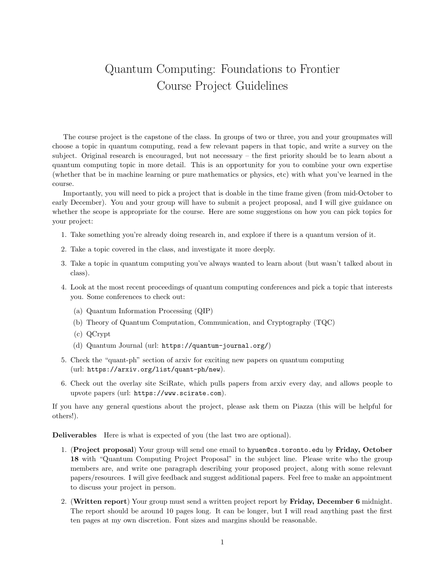## Quantum Computing: Foundations to Frontier Course Project Guidelines

The course project is the capstone of the class. In groups of two or three, you and your groupmates will choose a topic in quantum computing, read a few relevant papers in that topic, and write a survey on the subject. Original research is encouraged, but not necessary – the first priority should be to learn about a quantum computing topic in more detail. This is an opportunity for you to combine your own expertise (whether that be in machine learning or pure mathematics or physics, etc) with what you've learned in the course.

Importantly, you will need to pick a project that is doable in the time frame given (from mid-October to early December). You and your group will have to submit a project proposal, and I will give guidance on whether the scope is appropriate for the course. Here are some suggestions on how you can pick topics for your project:

- 1. Take something you're already doing research in, and explore if there is a quantum version of it.
- 2. Take a topic covered in the class, and investigate it more deeply.
- 3. Take a topic in quantum computing you've always wanted to learn about (but wasn't talked about in class).
- 4. Look at the most recent proceedings of quantum computing conferences and pick a topic that interests you. Some conferences to check out:
	- (a) Quantum Information Processing (QIP)
	- (b) Theory of Quantum Computation, Communication, and Cryptography (TQC)
	- (c) QCrypt
	- (d) Quantum Journal (url: https://quantum-journal.org/)
- 5. Check the "quant-ph" section of arxiv for exciting new papers on quantum computing (url: https://arxiv.org/list/quant-ph/new).
- 6. Check out the overlay site SciRate, which pulls papers from arxiv every day, and allows people to upvote papers (url: https://www.scirate.com).

If you have any general questions about the project, please ask them on Piazza (this will be helpful for others!).

Deliverables Here is what is expected of you (the last two are optional).

- 1. (Project proposal) Your group will send one email to hyuen@cs.toronto.edu by Friday, October 18 with "Quantum Computing Project Proposal" in the subject line. Please write who the group members are, and write one paragraph describing your proposed project, along with some relevant papers/resources. I will give feedback and suggest additional papers. Feel free to make an appointment to discuss your project in person.
- 2. (Written report) Your group must send a written project report by Friday, December 6 midnight. The report should be around 10 pages long. It can be longer, but I will read anything past the first ten pages at my own discretion. Font sizes and margins should be reasonable.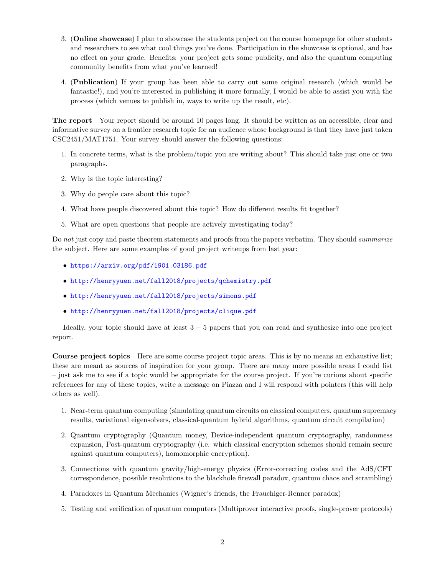- 3. (Online showcase) I plan to showcase the students project on the course homepage for other students and researchers to see what cool things you've done. Participation in the showcase is optional, and has no effect on your grade. Benefits: your project gets some publicity, and also the quantum computing community benefits from what you've learned!
- 4. (Publication) If your group has been able to carry out some original research (which would be fantastic!), and you're interested in publishing it more formally, I would be able to assist you with the process (which venues to publish in, ways to write up the result, etc).

The report Your report should be around 10 pages long. It should be written as an accessible, clear and informative survey on a frontier research topic for an audience whose background is that they have just taken CSC2451/MAT1751. Your survey should answer the following questions:

- 1. In concrete terms, what is the problem/topic you are writing about? This should take just one or two paragraphs.
- 2. Why is the topic interesting?
- 3. Why do people care about this topic?
- 4. What have people discovered about this topic? How do different results fit together?
- 5. What are open questions that people are actively investigating today?

Do not just copy and paste theorem statements and proofs from the papers verbatim. They should *summarize* the subject. Here are some examples of good project writeups from last year:

- <https://arxiv.org/pdf/1901.03186.pdf>
- <http://henryyuen.net/fall2018/projects/qchemistry.pdf>
- <http://henryyuen.net/fall2018/projects/simons.pdf>
- <http://henryyuen.net/fall2018/projects/clique.pdf>

Ideally, your topic should have at least  $3 - 5$  papers that you can read and synthesize into one project report.

Course project topics Here are some course project topic areas. This is by no means an exhaustive list; these are meant as sources of inspiration for your group. There are many more possible areas I could list – just ask me to see if a topic would be appropriate for the course project. If you're curious about specific references for any of these topics, write a message on Piazza and I will respond with pointers (this will help others as well).

- 1. Near-term quantum computing (simulating quantum circuits on classical computers, quantum supremacy results, variational eigensolvers, classical-quantum hybrid algorithms, quantum circuit compilation)
- 2. Quantum cryptography (Quantum money, Device-independent quantum cryptography, randomness expansion, Post-quantum cryptography (i.e. which classical encryption schemes should remain secure against quantum computers), homomorphic encryption).
- 3. Connections with quantum gravity/high-energy physics (Error-correcting codes and the AdS/CFT correspondence, possible resolutions to the blackhole firewall paradox, quantum chaos and scrambling)
- 4. Paradoxes in Quantum Mechanics (Wigner's friends, the Frauchiger-Renner paradox)
- 5. Testing and verification of quantum computers (Multiprover interactive proofs, single-prover protocols)